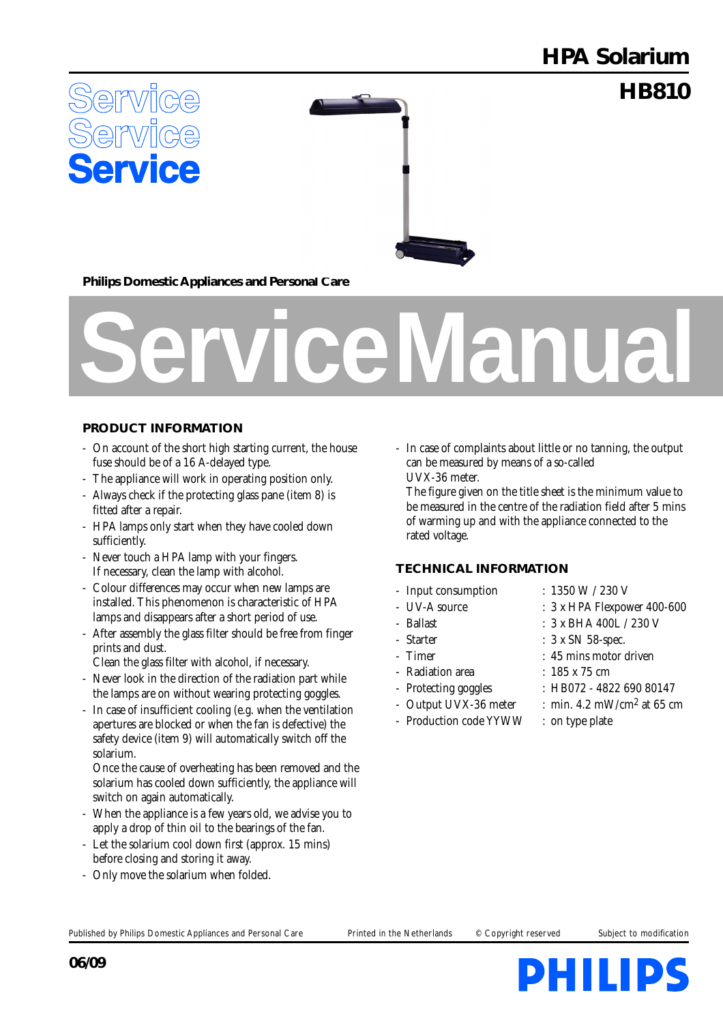## **HPA Solarium**

**HB810**



**Philips Domestic Appliances and Personal Care**

# **Service Manual**

#### **PRODUCT INFORMATION**

- On account of the short high starting current, the house fuse should be of a 16 A-delayed type.
- The appliance will work in operating position only.
- Always check if the protecting glass pane (item 8) is fitted after a repair.
- HPA lamps only start when they have cooled down sufficiently.
- Never touch a HPA lamp with your fingers. If necessary, clean the lamp with alcohol.
- Colour differences may occur when new lamps are installed. This phenomenon is characteristic of HPA lamps and disappears after a short period of use.
- After assembly the glass filter should be free from finger prints and dust.
- Clean the glass filter with alcohol, if necessary.
- Never look in the direction of the radiation part while the lamps are on without wearing protecting goggles.
- In case of insufficient cooling (e.g. when the ventilation apertures are blocked or when the fan is defective) the safety device (item 9) will automatically switch off the solarium.

Once the cause of overheating has been removed and the solarium has cooled down sufficiently, the appliance will switch on again automatically.

- When the appliance is a few years old, we advise you to apply a drop of thin oil to the bearings of the fan.
- Let the solarium cool down first (approx. 15 mins) before closing and storing it away.
- Only move the solarium when folded.

- In case of complaints about little or no tanning, the output can be measured by means of a so-called UVX-36 meter.

The figure given on the title sheet is the minimum value to be measured in the centre of the radiation field after 5 mins of warming up and with the appliance connected to the rated voltage.

#### **TECHNICAL INFORMATION**

- Input consumption :  $1350 W / 230 V$
- 
- 
- 
- 
- Radiation area : 185 x 75 cm
- 
- 
- Production code YYWW : on type plate
- 
- UV-A source : 3 x HPA Flexpower 400-600
- Ballast : 3 x BHA 400L / 230 V
- Starter : 3 x SN 58-spec.
- Timer : 45 mins motor driven
	-
- Protecting goggles : HB072 4822 690 80147
	- Output UVX-36 meter : min.  $4.2 \text{ mW/cm}^2$  at 65 cm
		-

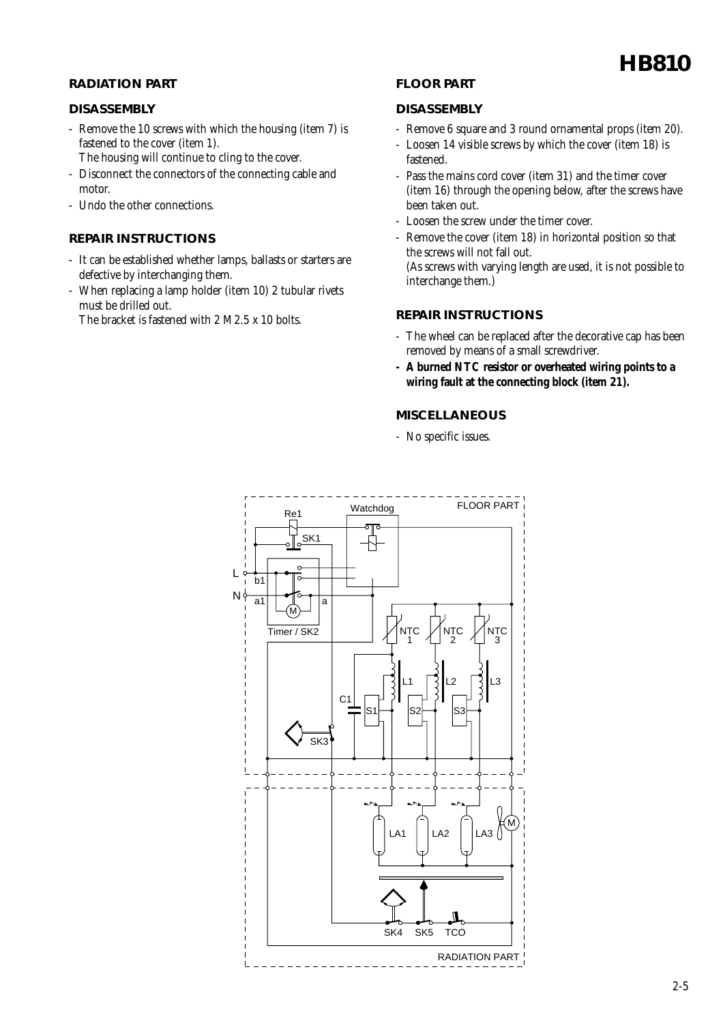#### **RADIATION PART**

#### **DISASSEMBLY**

- Remove the 10 screws with which the housing (item 7) is fastened to the cover (item 1).
	- The housing will continue to cling to the cover.
- Disconnect the connectors of the connecting cable and motor.
- Undo the other connections.

#### **REPAIR INSTRUCTIONS**

- It can be established whether lamps, ballasts or starters are defective by interchanging them.
- When replacing a lamp holder (item 10) 2 tubular rivets must be drilled out.
	- The bracket is fastened with 2 M2.5 x 10 bolts.

#### **FLOOR PART**

#### **DISASSEMBLY**

- Remove 6 square and 3 round ornamental props (item 20).
- Loosen 14 visible screws by which the cover (item 18) is fastened.
- Pass the mains cord cover (item 31) and the timer cover (item 16) through the opening below, after the screws have been taken out.
- Loosen the screw under the timer cover.
- Remove the cover (item 18) in horizontal position so that the screws will not fall out. (As screws with varying length are used, it is not possible to interchange them.)

#### **REPAIR INSTRUCTIONS**

- The wheel can be replaced after the decorative cap has been removed by means of a small screwdriver.
- **A burned NTC resistor or overheated wiring points to a wiring fault at the connecting block (item 21).**

#### **MISCELLANEOUS**

- No specific issues.

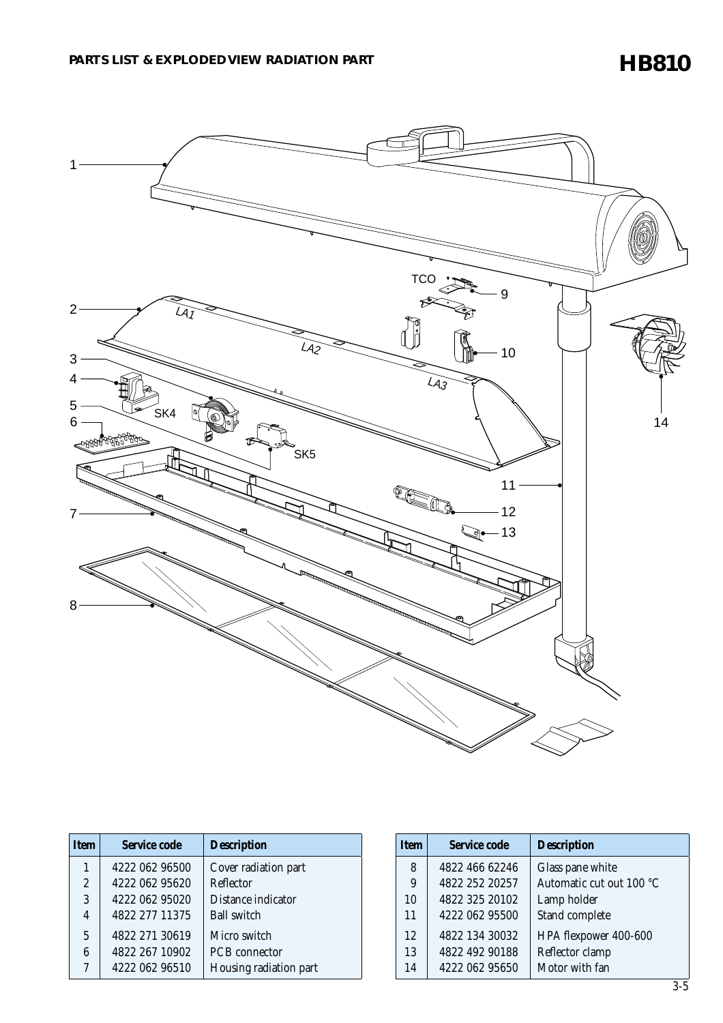### **HB810**



| Item           | Service code   | <b>Description</b>     |
|----------------|----------------|------------------------|
| 1              | 4222 062 96500 | Cover radiation part   |
| $\overline{2}$ | 4222 062 95620 | <b>Reflector</b>       |
| 3              | 4222 062 95020 | Distance indicator     |
| 4              | 4822 277 11375 | <b>Ball switch</b>     |
| 5              | 4822 271 30619 | Micro switch           |
| 6              | 4822 267 10902 | <b>PCB</b> connector   |
| 7              | 4222 062 96510 | Housing radiation part |

| <b>Item</b> | <b>Service code</b> | <b>Description</b>       |
|-------------|---------------------|--------------------------|
| 8           | 4822 466 62246      | Glass pane white         |
| 9           | 4822 252 20257      | Automatic cut out 100 °C |
| 10          | 4822 325 20102      | Lamp holder              |
| 11          | 4222 062 95500      | Stand complete           |
| 12          | 4822 134 30032      | HPA flexpower 400-600    |
| 13          | 4822 492 90188      | Reflector clamp          |
| 14          | 4222 062 95650      | Motor with fan           |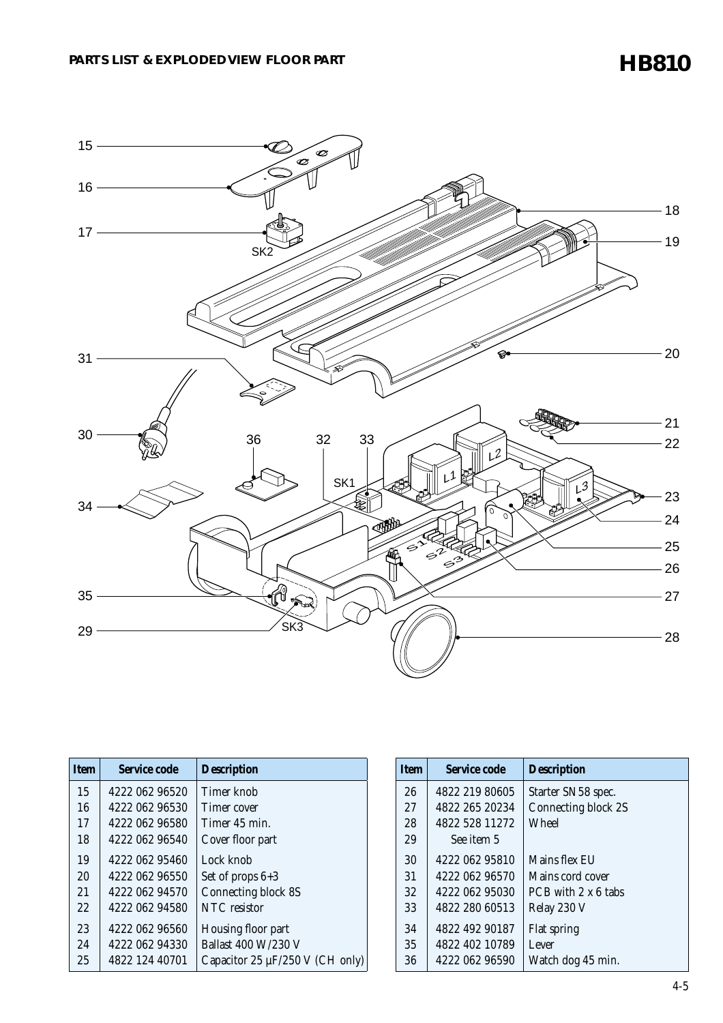**HB810**



| <b>Item</b> | Service code   | <b>Description</b>                   |
|-------------|----------------|--------------------------------------|
| 15          | 4222 062 96520 | Timer knob                           |
| 16          | 4222 062 96530 | Timer cover                          |
| 17          | 4222 062 96580 | Timer 45 min.                        |
| 18          | 4222 062 96540 | Cover floor part                     |
| 19          | 4222 062 95460 | Lock knob                            |
| 20          | 4222 062 96550 | Set of props $6+3$                   |
| 21          | 4222 062 94570 | <b>Connecting block 8S</b>           |
| 22          | 4222 062 94580 | NTC resistor                         |
| 23          | 4222 062 96560 | Housing floor part                   |
| 2.4         | 4222 062 94330 | <b>Ballast 400 W/230 V</b>           |
| 25          | 4822 124 40701 | Capacitor 25 $\mu$ F/250 V (CH only) |

| <b>Item</b> | Service code   | <b>Description</b>  |
|-------------|----------------|---------------------|
| 26          | 4822 219 80605 | Starter SN58 spec.  |
| 27          | 4822 265 20234 | Connecting block 2S |
| 28          | 4822 528 11272 | Wheel               |
| 29          | See item 5     |                     |
| 30          | 4222 062 95810 | Mains flex EU       |
| 31          | 4222 062 96570 | Mains cord cover    |
| 32          | 4222 062 95030 | PCB with 2 x 6 tabs |
| 33          | 4822 280 60513 | Relay 230 V         |
| 34          | 4822 492 90187 | <b>Flat spring</b>  |
| 35          | 4822 402 10789 | Lever               |
| 36          | 4222 062 96590 | Watch dog 45 min.   |